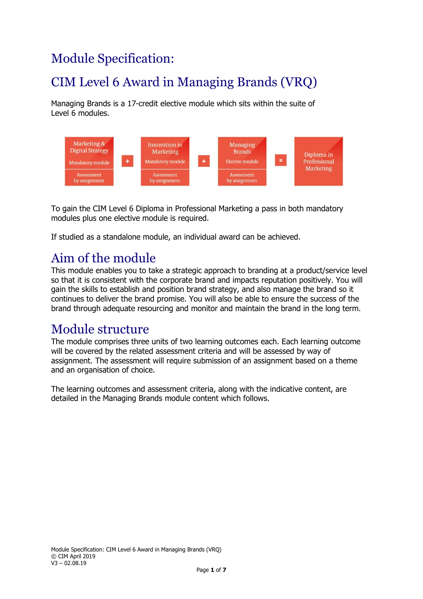# Module Specification:

# CIM Level 6 Award in Managing Brands (VRQ)

Managing Brands is a 17-credit elective module which sits within the suite of Level 6 modules.



To gain the CIM Level 6 Diploma in Professional Marketing a pass in both mandatory modules plus one elective module is required.

If studied as a standalone module, an individual award can be achieved.

# Aim of the module

This module enables you to take a strategic approach to branding at a product/service level so that it is consistent with the corporate brand and impacts reputation positively. You will gain the skills to establish and position brand strategy, and also manage the brand so it continues to deliver the brand promise. You will also be able to ensure the success of the brand through adequate resourcing and monitor and maintain the brand in the long term.

### Module structure

The module comprises three units of two learning outcomes each. Each learning outcome will be covered by the related assessment criteria and will be assessed by way of assignment. The assessment will require submission of an assignment based on a theme and an organisation of choice.

The learning outcomes and assessment criteria, along with the indicative content, are detailed in the Managing Brands module content which follows.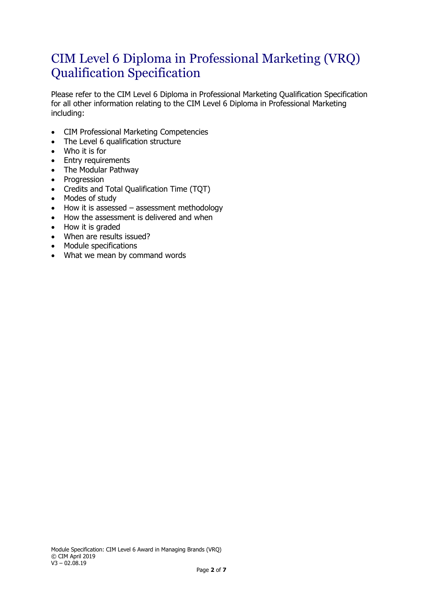### CIM Level 6 Diploma in Professional Marketing (VRQ) Qualification Specification

Please refer to the CIM Level 6 Diploma in Professional Marketing Qualification Specification for all other information relating to the CIM Level 6 Diploma in Professional Marketing including:

- CIM Professional Marketing Competencies
- The Level 6 qualification structure
- Who it is for
- Entry requirements
- The Modular Pathway
- Progression
- Credits and Total Qualification Time (TQT)
- Modes of study
- How it is assessed assessment methodology
- How the assessment is delivered and when
- How it is graded
- When are results issued?
- Module specifications
- What we mean by command words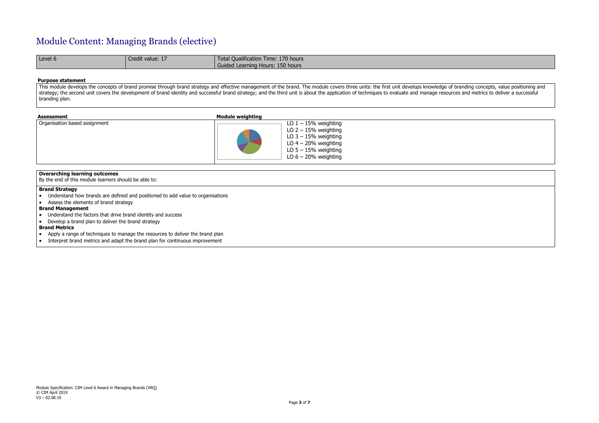# Module Content: Managing Brands (elective)

| Level 6 | Credit value: 17 | Total Qualification Time: 170 hours |
|---------|------------------|-------------------------------------|
|         |                  | Guided Learning Hours: 150 hours    |

#### **Purpose statement**

This module develops the concepts of brand promise through brand strategy and effective management of the brand. The module covers three units: the first unit develops knowledge of branding concepts, value positioning and strategy; the second unit covers the development of brand identity and successful brand strategy; and the third unit is about the application of techniques to evaluate and manage resources and metrics to deliver a successf branding plan.

| <b>Assessment</b>             | <b>Module weighting</b>                                                                                                                                  |
|-------------------------------|----------------------------------------------------------------------------------------------------------------------------------------------------------|
| Organisation based assignment | LO $1 - 15%$ weighting<br>LO $2 - 15%$ weighting<br>LO $3 - 15%$ weighting<br>LO $4 - 20%$ weighting<br>LO $5 - 15%$ weighting<br>LO $6 - 20%$ weighting |

### **Overarching learning outcomes**

By the end of this module learners should be able to:

#### **Brand Strategy**

- Understand how brands are defined and positioned to add value to organisations
- Assess the elements of brand strategy

#### **Brand Management**

- Understand the factors that drive brand identity and success
- Develop a brand plan to deliver the brand strategy

#### **Brand Metrics**

- Apply a range of techniques to manage the resources to deliver the brand plan
- Interpret brand metrics and adapt the brand plan for continuous improvement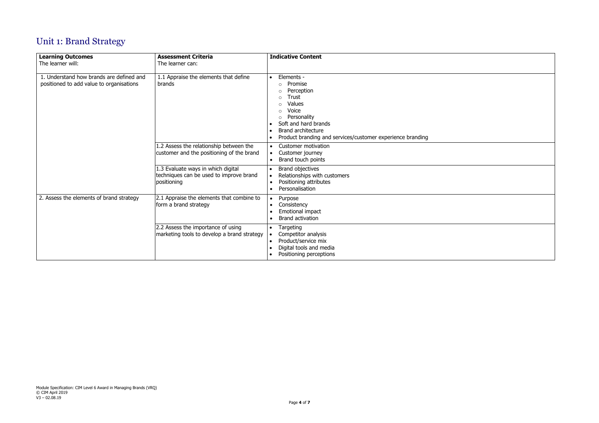# Unit 1: Brand Strategy

| <b>Learning Outcomes</b><br>The learner will:                                        | <b>Assessment Criteria</b><br>The learner can:                                               | <b>Indicative Content</b>                                                                                                                                                                                                                                                |  |
|--------------------------------------------------------------------------------------|----------------------------------------------------------------------------------------------|--------------------------------------------------------------------------------------------------------------------------------------------------------------------------------------------------------------------------------------------------------------------------|--|
| 1. Understand how brands are defined and<br>positioned to add value to organisations | 1.1 Appraise the elements that define<br>brands                                              | Elements -<br>$\bullet$<br>Promise<br>$\circ$<br>Perception<br>Trust<br>$\Omega$<br>Values<br>Voice<br>$\circ$<br>Personality<br>$\circ$<br>Soft and hard brands<br><b>Brand architecture</b><br>$\bullet$<br>Product branding and services/customer experience branding |  |
|                                                                                      | 1.2 Assess the relationship between the<br>customer and the positioning of the brand         | Customer motivation<br>$\bullet$<br>Customer journey<br>$\bullet$<br>Brand touch points<br>$\bullet$                                                                                                                                                                     |  |
|                                                                                      | 1.3 Evaluate ways in which digital<br>techniques can be used to improve brand<br>positioning | <b>Brand objectives</b><br>Relationships with customers<br>$\bullet$<br>Positioning attributes<br>$\bullet$<br>Personalisation<br>$\bullet$                                                                                                                              |  |
| 2. Assess the elements of brand strategy                                             | 2.1 Appraise the elements that combine to<br>form a brand strategy                           | Purpose<br>$\bullet$<br>Consistency<br>Emotional impact<br><b>Brand activation</b>                                                                                                                                                                                       |  |
|                                                                                      | 2.2 Assess the importance of using<br>marketing tools to develop a brand strategy            | Targeting<br>$\bullet$<br>Competitor analysis<br>Product/service mix<br>$\bullet$<br>Digital tools and media<br>Positioning perceptions                                                                                                                                  |  |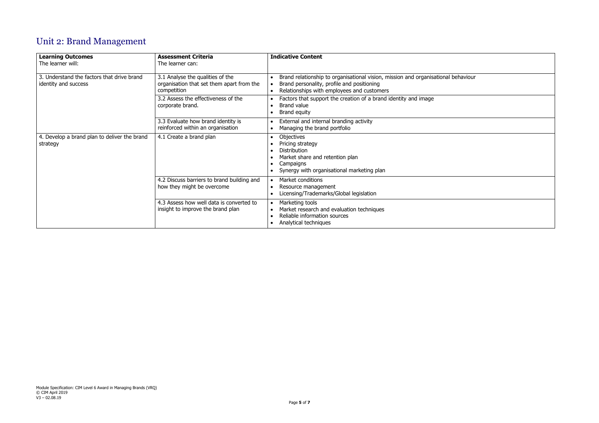# Unit 2: Brand Management



| <b>Learning Outcomes</b><br>The learner will:                      | <b>Assessment Criteria</b><br>The learner can:                                               | <b>Indicative Content</b>                                                                                                                                                                     |
|--------------------------------------------------------------------|----------------------------------------------------------------------------------------------|-----------------------------------------------------------------------------------------------------------------------------------------------------------------------------------------------|
| 3. Understand the factors that drive brand<br>identity and success | 3.1 Analyse the qualities of the<br>organisation that set them apart from the<br>competition | Brand relationship to organisational vision, mission and organisational<br>$\bullet$<br>Brand personality, profile and positioning<br>Relationships with employees and customers<br>$\bullet$ |
|                                                                    | 3.2 Assess the effectiveness of the<br>corporate brand.                                      | Factors that support the creation of a brand identity and image<br>$\bullet$<br><b>Brand value</b><br>$\bullet$<br>Brand equity<br>$\bullet$                                                  |
|                                                                    | 3.3 Evaluate how brand identity is<br>reinforced within an organisation                      | External and internal branding activity<br>$\bullet$<br>Managing the brand portfolio<br>$\bullet$                                                                                             |
| 4. Develop a brand plan to deliver the brand<br>strategy           | 4.1 Create a brand plan                                                                      | Objectives<br>$\bullet$<br>Pricing strategy<br><b>Distribution</b><br>Market share and retention plan<br>$\bullet$<br>Campaigns<br>Synergy with organisational marketing plan                 |
|                                                                    | 4.2 Discuss barriers to brand building and<br>how they might be overcome                     | Market conditions<br>$\bullet$<br>Resource management<br>$\bullet$<br>Licensing/Trademarks/Global legislation<br>$\bullet$                                                                    |
|                                                                    | 4.3 Assess how well data is converted to<br>insight to improve the brand plan                | Marketing tools<br>$\bullet$<br>Market research and evaluation techniques<br>$\bullet$<br>Reliable information sources<br>$\bullet$<br>Analytical techniques<br>$\bullet$                     |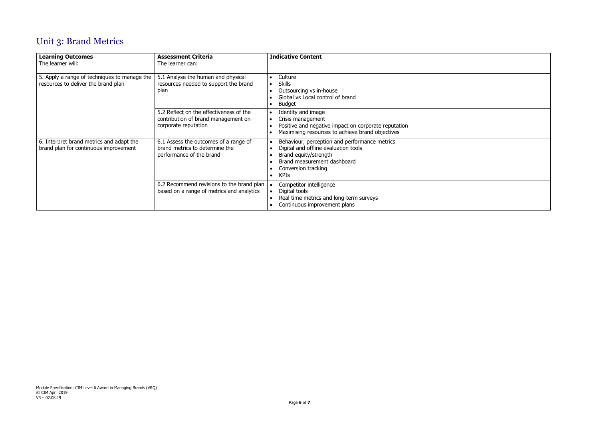

# Unit 3: Brand Metrics

| <b>Learning Outcomes</b><br>The learner will:                                       | <b>Assessment Criteria</b><br>The learner can:                                                         | <b>Indicative Content</b>                                                                                                                                                                                                  |
|-------------------------------------------------------------------------------------|--------------------------------------------------------------------------------------------------------|----------------------------------------------------------------------------------------------------------------------------------------------------------------------------------------------------------------------------|
| 5. Apply a range of techniques to manage the<br>resources to deliver the brand plan | 5.1 Analyse the human and physical<br>resources needed to support the brand<br>plan                    | Culture<br>$\bullet$<br><b>Skills</b><br>Outsourcing vs in-house<br>Global vs Local control of brand<br><b>Budget</b>                                                                                                      |
|                                                                                     | 5.2 Reflect on the effectiveness of the<br>contribution of brand management on<br>corporate reputation | Identity and image<br>$\bullet$<br>Crisis management<br>Positive and negative impact on corporate reputation<br>Maximising resources to achieve brand objectives                                                           |
| 6. Interpret brand metrics and adapt the<br>brand plan for continuous improvement   | 6.1 Assess the outcomes of a range of<br>brand metrics to determine the<br>performance of the brand    | Behaviour, perception and performance metrics<br>$\bullet$<br>Digital and offline evaluation tools<br>Brand equity/strength<br>Brand measurement dashboard<br>$\bullet$<br>Conversion tracking<br><b>KPIs</b><br>$\bullet$ |
|                                                                                     | 6.2 Recommend revisions to the brand plan<br>based on a range of metrics and analytics                 | Competitor intelligence<br>Digital tools<br>Real time metrics and long-term surveys<br>$\bullet$<br>Continuous improvement plans                                                                                           |